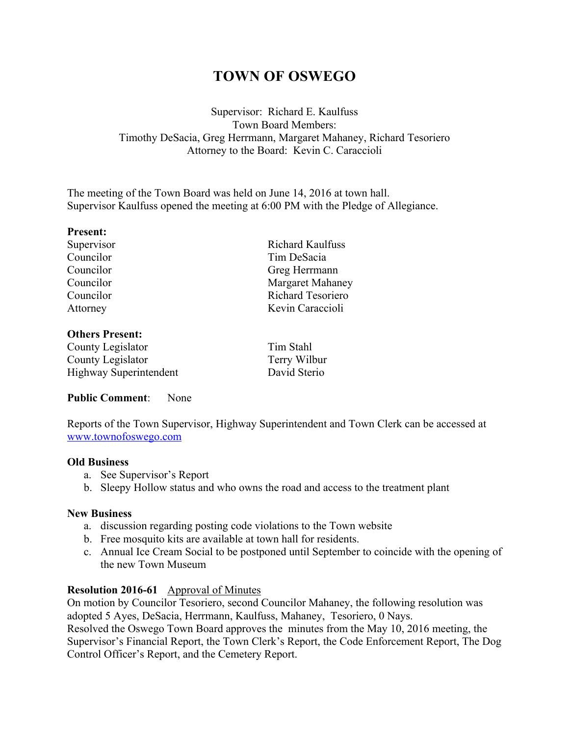# **TOWN OF OSWEGO**

# Supervisor: Richard E. Kaulfuss Town Board Members: Timothy DeSacia, Greg Herrmann, Margaret Mahaney, Richard Tesoriero Attorney to the Board: Kevin C. Caraccioli

The meeting of the Town Board was held on June 14, 2016 at town hall. Supervisor Kaulfuss opened the meeting at 6:00 PM with the Pledge of Allegiance.

#### **Present:**

## **Others Present:**

County Legislator County Legislator Highway Superintendent

Supervisor Richard Kaulfuss Councilor Tim DeSacia Councilor Greg Herrmann Councilor Margaret Mahaney Councilor Richard Tesoriero Attorney Kevin Caraccioli

| Tim Stahl    |
|--------------|
| Terry Wilbur |
| David Sterio |

# **Public Comment**: None

Reports of the Town Supervisor, Highway Superintendent and Town Clerk can be accessed at www.townofoswego.com

## **Old Business**

- a. See Supervisor's Report
- b. Sleepy Hollow status and who owns the road and access to the treatment plant

## **New Business**

- a. discussion regarding posting code violations to the Town website
- b. Free mosquito kits are available at town hall for residents.
- c. Annual Ice Cream Social to be postponed until September to coincide with the opening of the new Town Museum

# **Resolution 2016-61** Approval of Minutes

On motion by Councilor Tesoriero, second Councilor Mahaney, the following resolution was adopted 5 Ayes, DeSacia, Herrmann, Kaulfuss, Mahaney, Tesoriero, 0 Nays. Resolved the Oswego Town Board approves the minutes from the May 10, 2016 meeting, the

Supervisor's Financial Report, the Town Clerk's Report, the Code Enforcement Report, The Dog Control Officer's Report, and the Cemetery Report.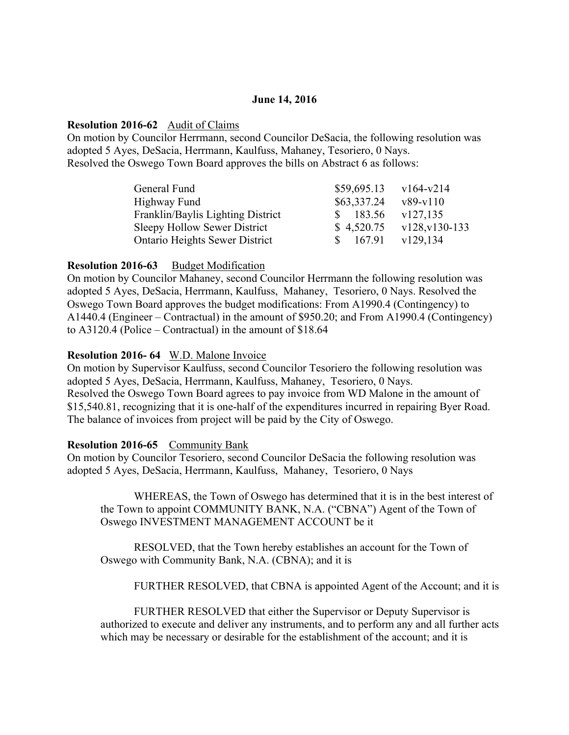### **June 14, 2016**

#### **Resolution 2016-62** Audit of Claims

On motion by Councilor Herrmann, second Councilor DeSacia, the following resolution was adopted 5 Ayes, DeSacia, Herrmann, Kaulfuss, Mahaney, Tesoriero, 0 Nays. Resolved the Oswego Town Board approves the bills on Abstract 6 as follows:

| General Fund                          | \$59,695.13 | $v164-v214$    |
|---------------------------------------|-------------|----------------|
| Highway Fund                          | \$63,337.24 | $v89-v110$     |
| Franklin/Baylis Lighting District     | 183.56      | v127,135       |
| Sleepy Hollow Sewer District          | \$4,520.75  | v128, v130-133 |
| <b>Ontario Heights Sewer District</b> | 167.91      | v129.134       |

#### **Resolution 2016-63** Budget Modification

On motion by Councilor Mahaney, second Councilor Herrmann the following resolution was adopted 5 Ayes, DeSacia, Herrmann, Kaulfuss, Mahaney, Tesoriero, 0 Nays. Resolved the Oswego Town Board approves the budget modifications: From A1990.4 (Contingency) to A1440.4 (Engineer – Contractual) in the amount of \$950.20; and From A1990.4 (Contingency) to A3120.4 (Police – Contractual) in the amount of \$18.64

#### **Resolution 2016- 64** W.D. Malone Invoice

On motion by Supervisor Kaulfuss, second Councilor Tesoriero the following resolution was adopted 5 Ayes, DeSacia, Herrmann, Kaulfuss, Mahaney, Tesoriero, 0 Nays. Resolved the Oswego Town Board agrees to pay invoice from WD Malone in the amount of \$15,540.81, recognizing that it is one-half of the expenditures incurred in repairing Byer Road. The balance of invoices from project will be paid by the City of Oswego.

## **Resolution 2016-65** Community Bank

On motion by Councilor Tesoriero, second Councilor DeSacia the following resolution was adopted 5 Ayes, DeSacia, Herrmann, Kaulfuss, Mahaney, Tesoriero, 0 Nays

WHEREAS, the Town of Oswego has determined that it is in the best interest of the Town to appoint COMMUNITY BANK, N.A. ("CBNA") Agent of the Town of Oswego INVESTMENT MANAGEMENT ACCOUNT be it

RESOLVED, that the Town hereby establishes an account for the Town of Oswego with Community Bank, N.A. (CBNA); and it is

FURTHER RESOLVED, that CBNA is appointed Agent of the Account; and it is

FURTHER RESOLVED that either the Supervisor or Deputy Supervisor is authorized to execute and deliver any instruments, and to perform any and all further acts which may be necessary or desirable for the establishment of the account; and it is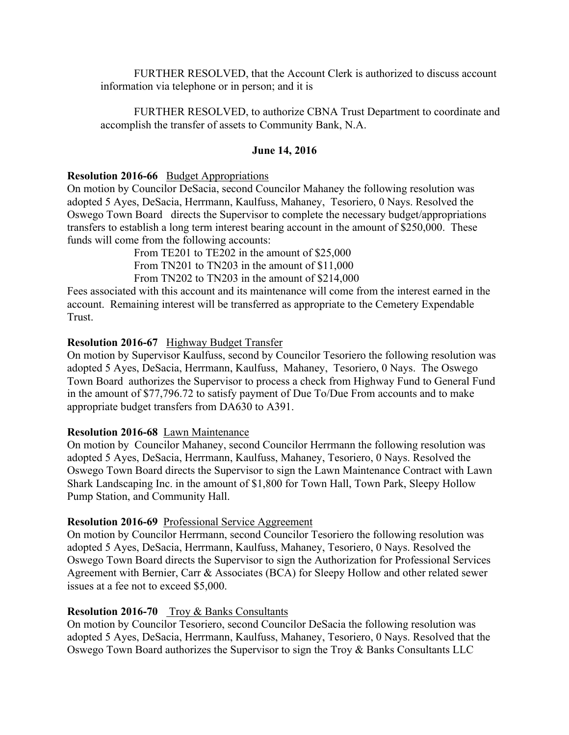FURTHER RESOLVED, that the Account Clerk is authorized to discuss account information via telephone or in person; and it is

FURTHER RESOLVED, to authorize CBNA Trust Department to coordinate and accomplish the transfer of assets to Community Bank, N.A.

#### **June 14, 2016**

#### **Resolution 2016-66** Budget Appropriations

On motion by Councilor DeSacia, second Councilor Mahaney the following resolution was adopted 5 Ayes, DeSacia, Herrmann, Kaulfuss, Mahaney, Tesoriero, 0 Nays. Resolved the Oswego Town Board directs the Supervisor to complete the necessary budget/appropriations transfers to establish a long term interest bearing account in the amount of \$250,000. These funds will come from the following accounts:

From TE201 to TE202 in the amount of \$25,000 From TN201 to TN203 in the amount of \$11,000 From TN202 to TN203 in the amount of \$214,000

Fees associated with this account and its maintenance will come from the interest earned in the account. Remaining interest will be transferred as appropriate to the Cemetery Expendable Trust.

## **Resolution 2016-67** Highway Budget Transfer

On motion by Supervisor Kaulfuss, second by Councilor Tesoriero the following resolution was adopted 5 Ayes, DeSacia, Herrmann, Kaulfuss, Mahaney, Tesoriero, 0 Nays. The Oswego Town Board authorizes the Supervisor to process a check from Highway Fund to General Fund in the amount of \$77,796.72 to satisfy payment of Due To/Due From accounts and to make appropriate budget transfers from DA630 to A391.

#### **Resolution 2016-68** Lawn Maintenance

On motion by Councilor Mahaney, second Councilor Herrmann the following resolution was adopted 5 Ayes, DeSacia, Herrmann, Kaulfuss, Mahaney, Tesoriero, 0 Nays. Resolved the Oswego Town Board directs the Supervisor to sign the Lawn Maintenance Contract with Lawn Shark Landscaping Inc. in the amount of \$1,800 for Town Hall, Town Park, Sleepy Hollow Pump Station, and Community Hall.

#### **Resolution 2016-69** Professional Service Aggreement

On motion by Councilor Herrmann, second Councilor Tesoriero the following resolution was adopted 5 Ayes, DeSacia, Herrmann, Kaulfuss, Mahaney, Tesoriero, 0 Nays. Resolved the Oswego Town Board directs the Supervisor to sign the Authorization for Professional Services Agreement with Bernier, Carr & Associates (BCA) for Sleepy Hollow and other related sewer issues at a fee not to exceed \$5,000.

## **Resolution 2016-70** Troy & Banks Consultants

On motion by Councilor Tesoriero, second Councilor DeSacia the following resolution was adopted 5 Ayes, DeSacia, Herrmann, Kaulfuss, Mahaney, Tesoriero, 0 Nays. Resolved that the Oswego Town Board authorizes the Supervisor to sign the Troy & Banks Consultants LLC